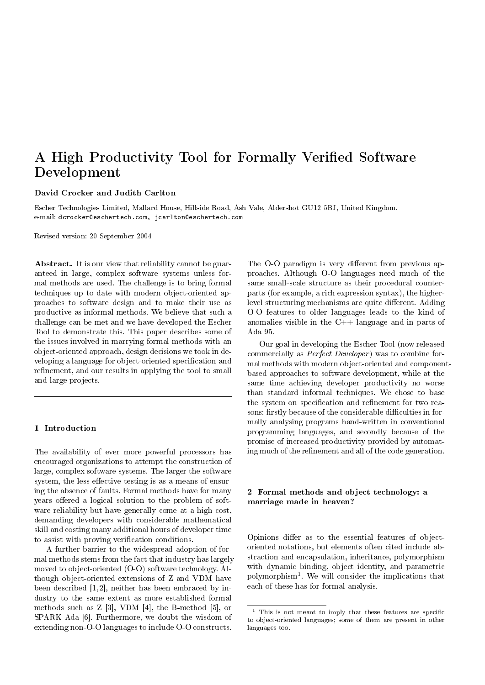# A High Productivity Tool for Formally Verified Software Development

## David Crocker and Judith Carlton

Escher Technologies Limited, Mallard House, Hillside Road, Ash Vale, Aldershot GU12 5BJ, United Kingdom. e-mail: dcrocker@eschertech.com, jcarlton@eschertech.com

Revised version: 20 September 2004

Abstract. It is our view that reliability cannot be guaranteed in large, complex software systems unless formal methods are used. The challenge is to bring formal techniques up to date with modern object-oriented approaches to software design and to make their use as productive as informal methods. We believe that such a challenge can be met and we have developed the Escher Tool to demonstrate this. This paper describes some of the issues involved in marrying formal methods with an object-oriented approach, design decisions we took in developing a language for object-oriented specification and refinement, and our results in applying the tool to small and large projects.

## 1 Introduction

The availability of ever more powerful processors has encouraged organizations to attempt the construction of large, complex software systems. The larger the software system, the less effective testing is as a means of ensuring the absence of faults. Formal methods have for many years offered a logical solution to the problem of software reliability but have generally come at a high cost, demanding developers with considerable mathematical skill and costing many additional hours of developer time to assist with proving verification conditions.

A further barrier to the widespread adoption of formal methods stems from the fact that industry has largely moved to object-oriented (O-O) software technology. Although object-oriented extensions of Z and VDM have been described [1, 2], neither has been embraced by industry to the same extent as more established formal methods such as Z [3], VDM [4], the B-method [5], or SPARK Ada [6]. Furthermore, we doubt the wisdom of extending non-O-O languages to include O-O constructs.

The O-O paradigm is very different from previous approaches. Although O-O languages need much of the same small-scale structure as their procedural counterparts (for example, a rich expression syntax), the higherlevel structuring mechanisms are quite different. Adding O-O features to older languages leads to the kind of anomalies visible in the  $C++$  language and in parts of Ada 95.

Our goal in developing the Escher Tool (now released commercially as *Perfect Developer*) was to combine formal methods with modern object-oriented and componentbased approaches to software development, while at the same time achieving developer productivity no worse than standard informal techniques. We chose to base the system on specification and refinement for two reasons: firstly because of the considerable difficulties in formally analysing programs hand-written in conventional programming languages, and secondly because of the promise of increased productivity provided by automating much of the refinement and all of the code generation.

# 2 Formal methods and object technology: a marriage made in heaven?

Opinions differ as to the essential features of objectoriented notations, but elements often cited include abstraction and encapsulation, inheritance, polymorphism with dynamic binding, object identity, and parametric polymorphism<sup>1</sup> . We will consider the implications that each of these has for formal analysis.

 $1$  This is not meant to imply that these features are specific to object-oriented languages; some of them are present in other languages too.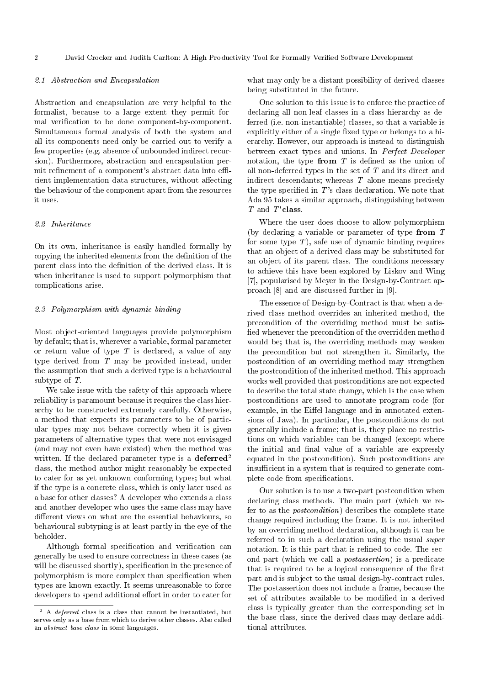# 2.1 Abstraction and Encapsulation

Abstraction and encapsulation are very helpful to the formalist, because to a large extent they permit formal verification to be done component-by-component. Simultaneous formal analysis of both the system and all its components need only be carried out to verify a few properties (e.g. absence of unbounded indirect recursion). Furthermore, abstraction and encapsulation permit refinement of a component's abstract data into efficient implementation data structures, without affecting the behaviour of the component apart from the resources it uses.

# 2.2 Inheritance

On its own, inheritance is easily handled formally by copying the inherited elements from the definition of the parent class into the definition of the derived class. It is when inheritance is used to support polymorphism that complications arise.

#### 2.3 Polymorphism with dynamic binding

Most object-oriented languages provide polymorphism by default; that is, wherever a variable, formal parameter or return value of type  $T$  is declared, a value of any type derived from T may be provided instead, under the assumption that such a derived type is a behavioural subtype of T.

We take issue with the safety of this approach where reliability is paramount because it requires the class hierarchy to be constructed extremely carefully. Otherwise, a method that expects its parameters to be of particular types may not behave correctly when it is given parameters of alternative types that were not envisaged (and may not even have existed) when the method was written. If the declared parameter type is a deferred<sup>2</sup> class, the method author might reasonably be expected to cater for as yet unknown conforming types; but what if the type is a concrete class, which is only later used as a base for other classes? A developer who extends a class and another developer who uses the same class may have different views on what are the essential behaviours, so behavioural subtyping is at least partly in the eye of the beholder.

Although formal specification and verification can generally be used to ensure correctness in these cases (as will be discussed shortly), specification in the presence of polymorphism is more complex than specification when types are known exactly. It seems unreasonable to force developers to spend additional effort in order to cater for

what may only be a distant possibility of derived classes being substituted in the future.

One solution to this issue is to enforce the practice of declaring all non-leaf classes in a class hierarchy as deferred (i.e. non-instantiable) classes, so that a variable is explicitly either of a single fixed type or belongs to a hierarchy. However, our approach is instead to distinguish between exact types and unions. In Perfect Developer notation, the type from  $T$  is defined as the union of all non-deferred types in the set of T and its direct and indirect descendants; whereas  $T$  alone means precisely the type specified in  $T$ 's class declaration. We note that Ada 95 takes a similar approach, distinguishing between T and T'class.

Where the user does choose to allow polymorphism (by declaring a variable or parameter of type from  $T$ for some type  $T$ ), safe use of dynamic binding requires that an object of a derived class may be substituted for an object of its parent class. The conditions necessary to achieve this have been explored by Liskov and Wing [7], popularised by Meyer in the Design-by-Contract approach [8] and are discussed further in [9].

The essence of Design-by-Contract is that when a derived class method overrides an inherited method, the precondition of the overriding method must be satis fied whenever the precondition of the overridden method would be; that is, the overriding methods may weaken the precondition but not strengthen it. Similarly, the postcondition of an overriding method may strengthen the postcondition of the inherited method. This approach works well provided that postconditions are not expected to describe the total state change, which is the case when postconditions are used to annotate program code (for example, in the Eiffel language and in annotated extensions of Java). In particular, the postconditions do not generally include a frame; that is, they place no restrictions on which variables can be changed (except where the initial and final value of a variable are expressly equated in the postcondition). Such postconditions are insufficient in a system that is required to generate complete code from specifications.

Our solution is to use a two-part postcondition when declaring class methods. The main part (which we refer to as the postcondition) describes the complete state change required including the frame. It is not inherited by an overriding method declaration, although it can be referred to in such a declaration using the usual super notation. It is this part that is refined to code. The second part (which we call a postassertion) is a predicate that is required to be a logical consequence of the first part and is subject to the usual design-by-contract rules. The postassertion does not include a frame, because the set of attributes available to be modified in a derived class is typically greater than the corresponding set in the base class, since the derived class may declare additional attributes.

 $2$  A *deferred* class is a class that cannot be instantiated, but serves only as a base from which to derive other classes. Also called an abstract base class in some languages.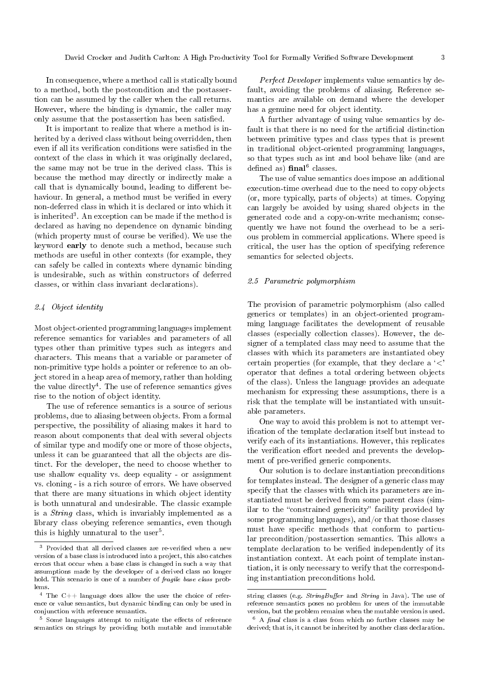In consequence, where a method call is statically bound to a method, both the postcondition and the postassertion can be assumed by the caller when the call returns. However, where the binding is dynamic, the caller may only assume that the postassertion has been satisfied.

It is important to realize that where a method is inherited by a derived class without being overridden, then even if all its verification conditions were satisfied in the context of the class in which it was originally declared, the same may not be true in the derived class. This is because the method may directly or indirectly make a call that is dynamically bound, leading to different behaviour. In general, a method must be verified in every non-deferred class in which it is declared or into which it is inherited<sup>3</sup>. An exception can be made if the method is declared as having no dependence on dynamic binding (which property must of course be verified). We use the keyword early to denote such a method, because such methods are useful in other contexts (for example, they can safely be called in contexts where dynamic binding is undesirable, such as within constructors of deferred classes, or within class invariant declarations).

## 2.4 Object identity

Most object-oriented programming languages implement reference semantics for variables and parameters of all types other than primitive types such as integers and characters. This means that a variable or parameter of non-primitive type holds a pointer or reference to an object stored in a heap area of memory, rather than holding the value directly<sup>4</sup>. The use of reference semantics gives rise to the notion of object identity.

The use of reference semantics is a source of serious problems, due to aliasing between objects. From a formal perspective, the possibility of aliasing makes it hard to reason about components that deal with several objects of similar type and modify one or more of those objects, unless it can be guaranteed that all the objects are distinct. For the developer, the need to choose whether to use shallow equality vs. deep equality - or assignment vs. cloning - is a rich source of errors. We have observed that there are many situations in which object identity is both unnatural and undesirable. The classic example is a String class, which is invariably implemented as a library class obeying reference semantics, even though this is highly unnatural to the user<sup>5</sup>.

 $^5\,$  Some languages attempt to mitigate the effects of reference semantics on strings by providing both mutable and immutable

Perfect Developer implements value semantics by default, avoiding the problems of aliasing. Reference semantics are available on demand where the developer has a genuine need for object identity.

A further advantage of using value semantics by default is that there is no need for the artificial distinction between primitive types and class types that is present in traditional object-oriented programming languages, so that types such as int and bool behave like (and are defined as)  $\text{final}^6$  classes.

The use of value semantics does impose an additional execution-time overhead due to the need to copy objects (or, more typically, parts of objects) at times. Copying can largely be avoided by using shared objects in the generated code and a copy-on-write mechanism; consequently we have not found the overhead to be a serious problem in commercial applications. Where speed is critical, the user has the option of specifying reference semantics for selected objects.

## 2.5 Parametric polymorphism

The provision of parametric polymorphism (also called generics or templates) in an object-oriented programming language facilitates the development of reusable classes (especially collection classes). However, the designer of a templated class may need to assume that the classes with which its parameters are instantiated obey certain properties (for example, that they declare a  $\langle \rangle$ ) operator that defines a total ordering between objects of the class). Unless the language provides an adequate mechanism for expressing these assumptions, there is a risk that the template will be instantiated with unsuitable parameters.

One way to avoid this problem is not to attempt verification of the template declaration itself but instead to verify each of its instantiations. However, this replicates the verification effort needed and prevents the development of pre-verified generic components.

Our solution is to declare instantiation preconditions for templates instead. The designer of a generic class may specify that the classes with which its parameters are instantiated must be derived from some parent class (similar to the "constrained genericity" facility provided by some programming languages), and/or that those classes must have specific methods that conform to particular precondition/postassertion semantics. This allows a template declaration to be verified independently of its instantiation context. At each point of template instantiation, it is only necessary to verify that the corresponding instantiation preconditions hold.

Provided that all derived classes are re-verified when a new version of a base class is introduced into a project, this also catches errors that occur when a base class is changed in such a way that assumptions made by the developer of a derived class no longer hold. This scenario is one of a number of *fragile base class* problems.

 $4$  The C++ language does allow the user the choice of reference or value semantics, but dynamic binding can only be used in conjunction with reference semantics.

string classes (e.g.  $StringBuffer$  and  $String$  in Java). The use of reference semantics poses no problem for users of the immutable version, but the problem remains when the mutable version is used.

 $6$  A  $final$  class is a class from which no further classes may be derived; that is, it cannot be inherited by another class declaration.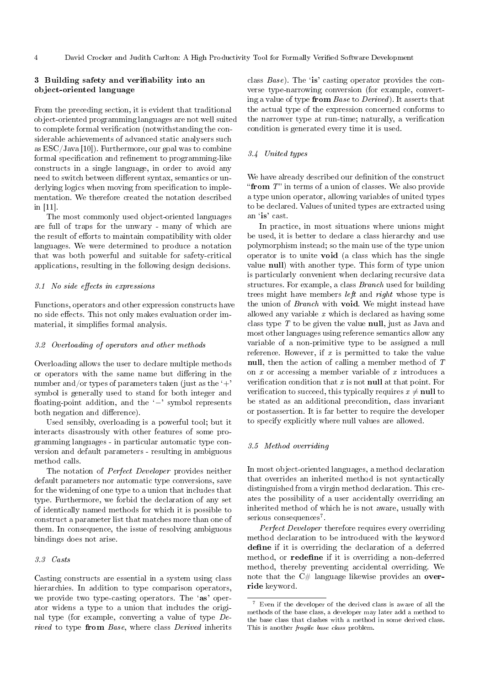# 3 Building safety and verifiability into an object-oriented language

From the preceding section, it is evident that traditional object-oriented programming languages are not well suited to complete formal verification (notwithstanding the considerable achievements of advanced static analysers such as ESC/Java [10]). Furthermore, our goal was to combine formal specification and refinement to programming-like constructs in a single language, in order to avoid any need to switch between different syntax, semantics or underlying logics when moving from specification to implementation. We therefore created the notation described in [11].

The most commonly used object-oriented languages are full of traps for the unwary - many of which are the result of efforts to maintain compatibility with older languages. We were determined to produce a notation that was both powerful and suitable for safety-critical applications, resulting in the following design decisions.

## $3.1$  No side effects in expressions

Functions, operators and other expression constructs have no side effects. This not only makes evaluation order immaterial, it simplifies formal analysis.

#### 3.2 Overloading of operators and other methods

Overloading allows the user to declare multiple methods or operators with the same name but differing in the number and/or types of parameters taken (just as the  $+$ ' symbol is generally used to stand for both integer and floating-point addition, and the '−' symbol represents both negation and difference).

Used sensibly, overloading is a powerful tool; but it interacts disastrously with other features of some programming languages - in particular automatic type conversion and default parameters - resulting in ambiguous method calls.

The notation of *Perfect Developer* provides neither default parameters nor automatic type conversions, save for the widening of one type to a union that includes that type. Furthermore, we forbid the declaration of any set of identically named methods for which it is possible to construct a parameter list that matches more than one of them. In consequence, the issue of resolving ambiguous bindings does not arise.

#### 3.3 Casts

Casting constructs are essential in a system using class hierarchies. In addition to type comparison operators, we provide two type-casting operators. The 'as' operator widens a type to a union that includes the original type (for example, converting a value of type Derived to type from Base, where class Derived inherits

class  $Base$ ). The 'is' casting operator provides the converse type-narrowing conversion (for example, converting a value of type from Base to Derived). It asserts that the actual type of the expression concerned conforms to the narrower type at run-time; naturally, a verification condition is generated every time it is used.

# 3.4 United types

We have already described our definition of the construct "from  $T$ " in terms of a union of classes. We also provide a type union operator, allowing variables of united types to be declared. Values of united types are extracted using an `is' cast.

In practice, in most situations where unions might be used, it is better to declare a class hierarchy and use polymorphism instead; so the main use of the type union operator is to unite void (a class which has the single value null) with another type. This form of type union is particularly convenient when declaring recursive data structures. For example, a class Branch used for building trees might have members *left* and *right* whose type is the union of Branch with **void**. We might instead have allowed any variable x which is declared as having some class type  $T$  to be given the value null, just as Java and most other languages using reference semantics allow any variable of a non-primitive type to be assigned a null reference. However, if  $x$  is permitted to take the value null, then the action of calling a member method of T on  $x$  or accessing a member variable of  $x$  introduces a verification condition that  $x$  is not **null** at that point. For verification to succeed, this typically requires  $x \neq \textbf{null}$  to be stated as an additional precondition, class invariant or postassertion. It is far better to require the developer to specify explicitly where null values are allowed.

#### 3.5 Method overriding

In most object-oriented languages, a method declaration that overrides an inherited method is not syntactically distinguished from a virgin method declaration. This creates the possibility of a user accidentally overriding an inherited method of which he is not aware, usually with serious consequences<sup>7</sup>.

Perfect Developer therefore requires every overriding method declaration to be introduced with the keyword define if it is overriding the declaration of a deferred method, or redefine if it is overriding a non-deferred method, thereby preventing accidental overriding. We note that the  $C\#$  language likewise provides an override keyword.

<sup>7</sup> Even if the developer of the derived class is aware of all the methods of the base class, a developer may later add a method to the base class that clashes with a method in some derived class. This is another *fragile base class* problem.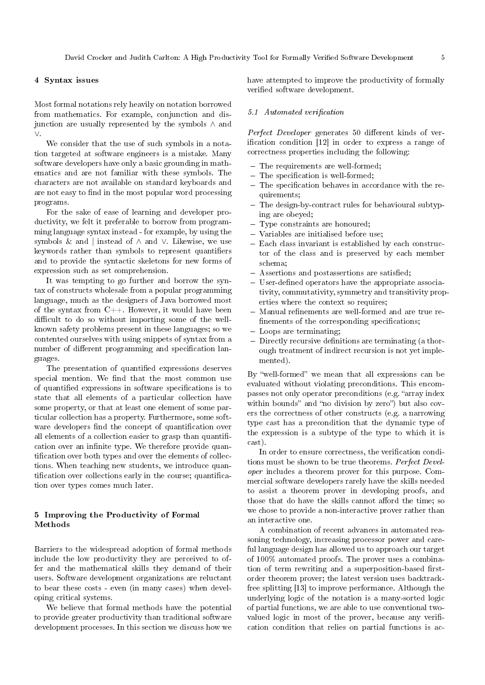# 4 Syntax issues

Most formal notations rely heavily on notation borrowed from mathematics. For example, conjunction and disjunction are usually represented by the symbols ∧ and ∨.

We consider that the use of such symbols in a notation targeted at software engineers is a mistake. Many software developers have only a basic grounding in mathematics and are not familiar with these symbols. The characters are not available on standard keyboards and are not easy to find in the most popular word processing programs.

For the sake of ease of learning and developer productivity, we felt it preferable to borrow from programming language syntax instead - for example, by using the symbols & and | instead of ∧ and ∨. Likewise, we use keywords rather than symbols to represent quantifiers and to provide the syntactic skeletons for new forms of expression such as set comprehension.

It was tempting to go further and borrow the syntax of constructs wholesale from a popular programming language, much as the designers of Java borrowed most of the syntax from  $C++$ . However, it would have been difficult to do so without importing some of the wellknown safety problems present in these languages; so we contented ourselves with using snippets of syntax from a number of different programming and specification languages.

The presentation of quantified expressions deserves special mention. We find that the most common use of quantified expressions in software specifications is to state that all elements of a particular collection have some property, or that at least one element of some particular collection has a property. Furthermore, some software developers find the concept of quantification over all elements of a collection easier to grasp than quantification over an infinite type. We therefore provide quantification over both types and over the elements of collections. When teaching new students, we introduce quantification over collections early in the course; quantification over types comes much later.

# 5 Improving the Productivity of Formal Methods

Barriers to the widespread adoption of formal methods include the low productivity they are perceived to offer and the mathematical skills they demand of their users. Software development organizations are reluctant to bear these costs - even (in many cases) when developing critical systems.

We believe that formal methods have the potential to provide greater productivity than traditional software development processes. In this section we discuss how we have attempted to improve the productivity of formally verified software development.

## 5.1 Automated verification

Perfect Developer generates 50 different kinds of verification condition  $[12]$  in order to express a range of correctness properties including the following:

- The requirements are well-formed:
- $-$  The specification is well-formed;
- $-$  The specification behaves in accordance with the requirements;
- The design-by-contract rules for behavioural subtyping are obeyed;
- Type constraints are honoured;
- Variables are initialised before use;
- Each class invariant is established by each constructor of the class and is preserved by each member schema;
- Assertions and postassertions are satisfied;
- $-$  User-defined operators have the appropriate associativity, commutativity, symmetry and transitivity properties where the context so requires;
- Manual refinements are well-formed and are true refinements of the corresponding specifications;
- Loops are terminating;
- Directly recursive definitions are terminating (a thorough treatment of indirect recursion is not yet implemented).

By "well-formed" we mean that all expressions can be evaluated without violating preconditions. This encompasses not only operator preconditions (e.g. "array index within bounds" and "no division by zero") but also covers the correctness of other constructs (e.g. a narrowing type cast has a precondition that the dynamic type of the expression is a subtype of the type to which it is cast).

In order to ensure correctness, the verification conditions must be shown to be true theorems. Perfect Developer includes a theorem prover for this purpose. Commercial software developers rarely have the skills needed to assist a theorem prover in developing proofs, and those that do have the skills cannot afford the time; so we chose to provide a non-interactive prover rather than an interactive one.

A combination of recent advances in automated reasoning technology, increasing processor power and careful language design has allowed us to approach our target of 100% automated proofs. The prover uses a combination of term rewriting and a superposition-based firstorder theorem prover; the latest version uses backtrackfree splitting [13] to improve performance. Although the underlying logic of the notation is a many-sorted logic of partial functions, we are able to use conventional twovalued logic in most of the prover, because any verification condition that relies on partial functions is ac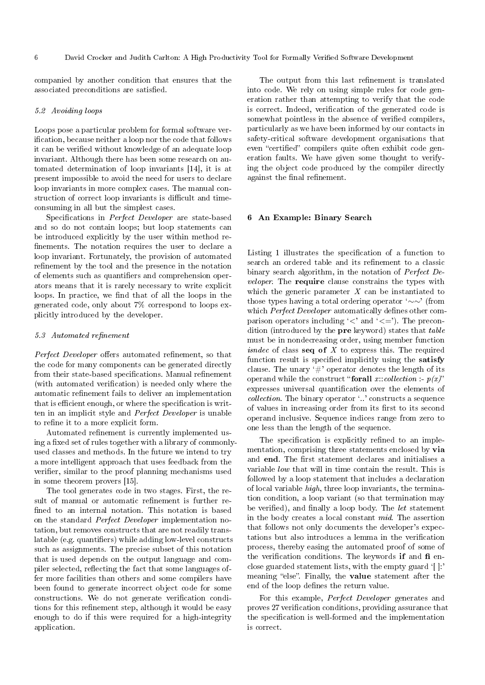companied by another condition that ensures that the associated preconditions are satisfied.

#### 5.2 Avoiding loops

Loops pose a particular problem for formal software verication, because neither a loop nor the code that follows it can be verified without knowledge of an adequate loop invariant. Although there has been some research on automated determination of loop invariants [14], it is at present impossible to avoid the need for users to declare loop invariants in more complex cases. The manual construction of correct loop invariants is difficult and timeconsuming in all but the simplest cases.

Specifications in Perfect Developer are state-based and so do not contain loops; but loop statements can be introduced explicitly by the user within method re finements. The notation requires the user to declare a loop invariant. Fortunately, the provision of automated refinement by the tool and the presence in the notation of elements such as quantifiers and comprehension operators means that it is rarely necessary to write explicit loops. In practice, we find that of all the loops in the generated code, only about 7% correspond to loops explicitly introduced by the developer.

#### 5.3 Automated refinement

Perfect Developer offers automated refinement, so that the code for many components can be generated directly from their state-based specifications. Manual refinement (with automated verification) is needed only where the automatic refinement fails to deliver an implementation that is efficient enough, or where the specification is written in an implicit style and Perfect Developer is unable to refine it to a more explicit form.

Automated refinement is currently implemented using a fixed set of rules together with a library of commonlyused classes and methods. In the future we intend to try a more intelligent approach that uses feedback from the verifier, similar to the proof planning mechanisms used in some theorem provers [15].

The tool generates code in two stages. First, the result of manual or automatic refinement is further refined to an internal notation. This notation is based on the standard Perfect Developer implementation notation, but removes constructs that are not readily translatable (e.g. quantifiers) while adding low-level constructs such as assignments. The precise subset of this notation that is used depends on the output language and compiler selected, reflecting the fact that some languages offer more facilities than others and some compilers have been found to generate incorrect object code for some constructions. We do not generate verification conditions for this refinement step, although it would be easy enough to do if this were required for a high-integrity application.

The output from this last refinement is translated into code. We rely on using simple rules for code generation rather than attempting to verify that the code is correct. Indeed, verification of the generated code is somewhat pointless in the absence of verified compilers, particularly as we have been informed by our contacts in safety-critical software development organisations that even "certified" compilers quite often exhibit code generation faults. We have given some thought to verifying the object code produced by the compiler directly against the final refinement.

## 6 An Example: Binary Search

Listing 1 illustrates the specification of a function to search an ordered table and its refinement to a classic binary search algorithm, in the notation of Perfect Developer. The require clause constrains the types with which the generic parameter  $X$  can be instantiated to those types having a total ordering operator `∼∼' (from which Perfect Developer automatically defines other comparison operators including  $\langle \langle \rangle$  and  $\langle \langle = \rangle$ . The precondition (introduced by the **pre** keyword) states that *table* must be in nondecreasing order, using member function *isndec* of class seq of  $X$  to express this. The required function result is specified implicitly using the satisfy clause. The unary  $\ddot{\#}$  operator denotes the length of its operand while the construct "forall x: collection :-  $p(x)$ " expresses universal quantification over the elements of collection. The binary operator `..' constructs a sequence of values in increasing order from its first to its second operand inclusive. Sequence indices range from zero to one less than the length of the sequence.

The specification is explicitly refined to an implementation, comprising three statements enclosed by via and end. The first statement declares and initialises a variable low that will in time contain the result. This is followed by a loop statement that includes a declaration of local variable high, three loop invariants, the termination condition, a loop variant (so that termination may be verified), and finally a loop body. The *let* statement in the body creates a local constant mid. The assertion that follows not only documents the developer's expectations but also introduces a lemma in the verification process, thereby easing the automated proof of some of the verification conditions. The keywords if and  $f$  enclose guarded statement lists, with the empty guard  $[$   $]$ : meaning "else". Finally, the value statement after the end of the loop defines the return value.

For this example, Perfect Developer generates and proves 27 verification conditions, providing assurance that the specification is well-formed and the implementation is correct.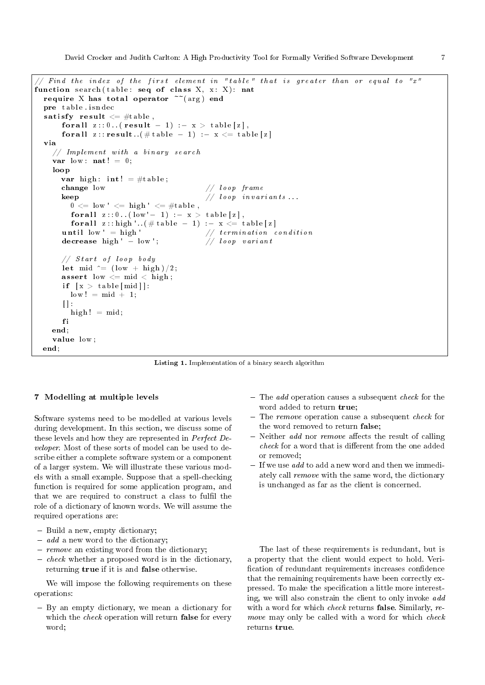David Crocker and Judith Carlton: A High Productivity Tool for Formally Veried Software Development 7

```
Find the index of the first element in "table" that is greater than or equal to "x"
function search (table: seq of class X, x: X): nat
  require X has total operator \tilde{c} (arg) end
  pre table isndec
  satisfy result \leq #table,
       for all z : : 0. . ( result - 1) :- x > table [z],
       for all z : : \text{result} \quad (\# \text{ table } - 1) \ := \ x \ \leq \ \text{table } [z]via
     // Implement with a binary search
     var low : \mathbf{nat}! = 0 ;
    loop
       var high: int! = #table;change low //\ loop\ frame\bf{keep} // loop invariants...
         0 \leq l ow' \leq high' \leq #table,
          for all z :: 0.. (low' - 1) :-x > table [z],
          for all z :: high '.. (# t a b l e - 1) :- x \leq t a b l e [z]
       until \begin{array}{l} \text{limit of } \mathbf{w} = \text{high} \\ \text{decrease high'} - \text{low'} \\ \end{array} // termination condition
       decrease high ' - low ';
       // Start of loop body
       let mid \hat{=} (low + high) / 2;
       assert low \leq mid \leq high;
       if [x > table [\text{mid}]]:
         low! = mid + 1;\prod :
         high! = mid;f i
     end;
     value low ;
  end;
```
Listing 1. Implementation of a binary search algorithm

# 7 Modelling at multiple levels

Software systems need to be modelled at various levels during development. In this section, we discuss some of these levels and how they are represented in Perfect Developer. Most of these sorts of model can be used to describe either a complete software system or a component of a larger system. We will illustrate these various models with a small example. Suppose that a spell-checking function is required for some application program, and that we are required to construct a class to fulfil the role of a dictionary of known words. We will assume the required operations are:

- Build a new, empty dictionary;
- $-$  add a new word to the dictionary;
- $r = remove$  an existing word from the dictionary;
- $\overline{c}$  *check* whether a proposed word is in the dictionary, returning true if it is and false otherwise.

We will impose the following requirements on these operations:

 By an empty dictionary, we mean a dictionary for which the *check* operation will return false for every word;

- $\overline{\phantom{a}}$  The *add* operation causes a subsequent *check* for the word added to return true;
- $-$  The remove operation cause a subsequent *check* for the word removed to return false;
- $-$  Neither *add* nor *remove* affects the result of calling check for a word that is different from the one added or removed;
- $-$  If we use add to add a new word and then we immediately call remove with the same word, the dictionary is unchanged as far as the client is concerned.

The last of these requirements is redundant, but is a property that the client would expect to hold. Veri fication of redundant requirements increases confidence that the remaining requirements have been correctly expressed. To make the specification a little more interesting, we will also constrain the client to only invoke add with a word for which *check* returns false. Similarly, remove may only be called with a word for which check returns true.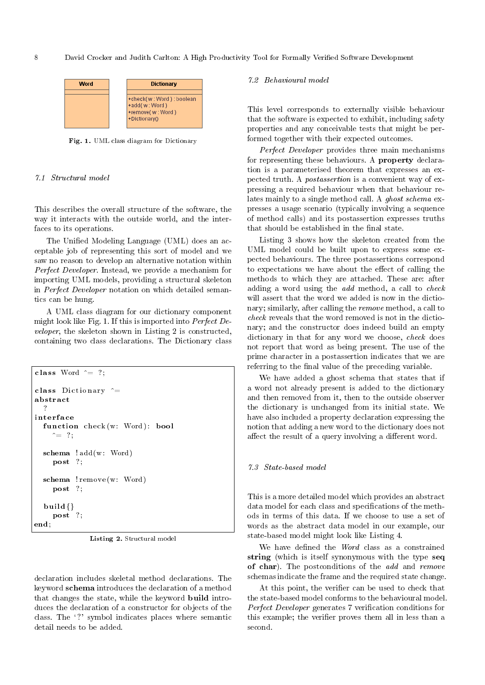

Fig. 1. UML class diagram for Dictionary

## 7.1 Structural model

This describes the overall structure of the software, the way it interacts with the outside world, and the interfaces to its operations.

The Unified Modeling Language (UML) does an acceptable job of representing this sort of model and we saw no reason to develop an alternative notation within Perfect Developer. Instead, we provide a mechanism for importing UML models, providing a structural skeleton in Perfect Developer notation on which detailed semantics can be hung.

A UML class diagram for our dictionary component might look like Fig. 1. If this is imported into Perfect Developer, the skeleton shown in Listing 2 is constructed, containing two class declarations. The Dictionary class

```
class Word \hat{=} ?:
class Dictionary \hat{ } =
abstract
  ?
inter fa ce
  function check (w: Word): bool
     \hat{ } = ? ;
  schema ! add (w: Word)
     post ?:
  schema ! remove (w: Word)
     post ?:
  build{}
    post ?:
end;
```
Listing 2. Structural model

declaration includes skeletal method declarations. The keyword schema introduces the declaration of a method that changes the state, while the keyword build introduces the declaration of a constructor for objects of the class. The `?' symbol indicates places where semantic detail needs to be added.

## 7.2 Behavioural model

This level corresponds to externally visible behaviour that the software is expected to exhibit, including safety properties and any conceivable tests that might be performed together with their expected outcomes.

Perfect Developer provides three main mechanisms for representing these behaviours. A property declaration is a parameterised theorem that expresses an expected truth. A postassertion is a convenient way of expressing a required behaviour when that behaviour relates mainly to a single method call. A ghost schema expresses a usage scenario (typically involving a sequence of method calls) and its postassertion expresses truths that should be established in the final state.

Listing 3 shows how the skeleton created from the UML model could be built upon to express some expected behaviours. The three postassertions correspond to expectations we have about the effect of calling the methods to which they are attached. These are: after adding a word using the add method, a call to check will assert that the word we added is now in the dictionary; similarly, after calling the remove method, a call to check reveals that the word removed is not in the dictionary; and the constructor does indeed build an empty dictionary in that for any word we choose, *check* does not report that word as being present. The use of the prime character in a postassertion indicates that we are referring to the final value of the preceding variable.

We have added a ghost schema that states that if a word not already present is added to the dictionary and then removed from it, then to the outside observer the dictionary is unchanged from its initial state. We have also included a property declaration expressing the notion that adding a new word to the dictionary does not affect the result of a query involving a different word.

# 7.3 State-based model

This is a more detailed model which provides an abstract data model for each class and specifications of the methods in terms of this data. If we choose to use a set of words as the abstract data model in our example, our state-based model might look like Listing 4.

We have defined the  $Word$  class as a constrained string (which is itself synonymous with the type seq of char). The postconditions of the *add* and *remove* schemas indicate the frame and the required state change.

At this point, the verifier can be used to check that the state-based model conforms to the behavioural model. Perfect Developer generates 7 verification conditions for this example; the verifier proves them all in less than a second.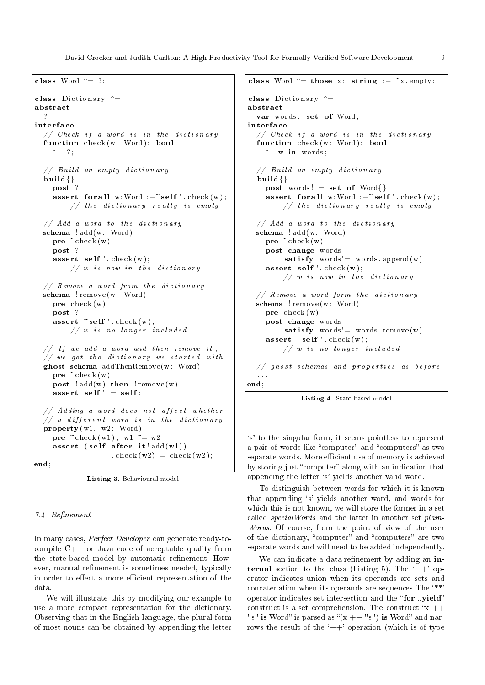David Crocker and Judith Carlton: A High Productivity Tool for Formally Verified Software Development 9

```
class Word \hat{=} ?:
class Dictionary ^=
abstract
  ?
inter fa ce
   // Check if a word is in the dictionaryfunction check(w: Word): bool\hat{ } = ? ;
   // Build an empty dictionary
  build\{\}post ?
     assert for all w:Word :-self ' check (w);
          // the dictionary really is empty
  // Add a word to the dictionaryschema ! add (w: Word)
     pre ~check (w)
     post ?
     \texttt{assert} \texttt{self}'. \texttt{check}(w);
          // w is now in the dictionary
  // Remove a word from the dictionary
  schema ! remove (w: Word)
     pre check (w)
     post ?
     assert \tilde{\phantom{a}} self '. check (w);
          // w is no longer included
  // If we add a word and then remove it,\sqrt{2} we get the dictionary we started with
  ghost schema addThenRemove (w: Word)
     pre ~check (w)
     post ! add (w) then ! remove (w)
     \texttt{assert} \texttt{self'} = \texttt{self};// Adding a word does not affect whether
  // a different word is in the dictionary
  \textbf{property}(w1, w2: Word)pre \tilde{c}check (w1), w1 \tilde{c} = w2
     assert (self after it!add(w1))\text{ch} \, \text{c} \, \text{h} \, \text{c} \, \text{k} \, (\text{w2}) = \text{ch} \, \text{c} \, \text{k} \, (\text{w2});
end;
```
Listing 3. Behavioural model

# 7.4 Refinement

In many cases, Perfect Developer can generate ready-tocompile C++ or Java code of acceptable quality from the state-based model by automatic refinement. However, manual refinement is sometimes needed, typically in order to effect a more efficient representation of the data.

We will illustrate this by modifying our example to use a more compact representation for the dictionary. Observing that in the English language, the plural form of most nouns can be obtained by appending the letter

```
class Word \hat{ } = those x : string :– \tilde{ } x . empty ;
class Dictionary \hat{ }=abstract
  var words: set of Word;
inter fa ce
  // Check if a word is in the dictionaryfunction check(w: Word): bool\hat{=} w in words;
  // Build an empty dictionary
  build{}
    post words! = set of Word\assert for all w:Word :-self '.check(w);
         // the dictionary really is empty
  // Add a word to the dictionaryschema ! add (w: Word)
    pre \sim \text{check}(w)post change words
         satisfy words'= words . append (w)\texttt{assert} \texttt{self}'. \texttt{check}(w);
         // w is now in the dictionary
  // Remove a word form the dictionary
  schema ! remove (w: Word)
    pre check (w)
    post change words
         satisfy words'= words remove (w)
    \text{assert} \tilde{\text{self}} '. \text{check} (w);
         1/ w is no longer included
  // ghost schemas and properties as before
  . . .
end;
```


`s' to the singular form, it seems pointless to represent a pair of words like "computer" and "computers" as two separate words. More efficient use of memory is achieved by storing just "computer" along with an indication that appending the letter `s' yields another valid word.

To distinguish between words for which it is known that appending `s' yields another word, and words for which this is not known, we will store the former in a set called specialWords and the latter in another set plain-Words. Of course, from the point of view of the user of the dictionary, "computer" and "computers" are two separate words and will need to be added independently.

We can indicate a data refinement by adding an internal section to the class (Listing 5). The  $'++'$  operator indicates union when its operands are sets and concatenation when its operands are sequences The `\*\*' operator indicates set intersection and the "for...yield" construct is a set comprehension. The construct " $x$  ++ "s" is Word" is parsed as " $(x + + "s")$  is Word" and narrows the result of the  $+$   $+$ ' operation (which is of type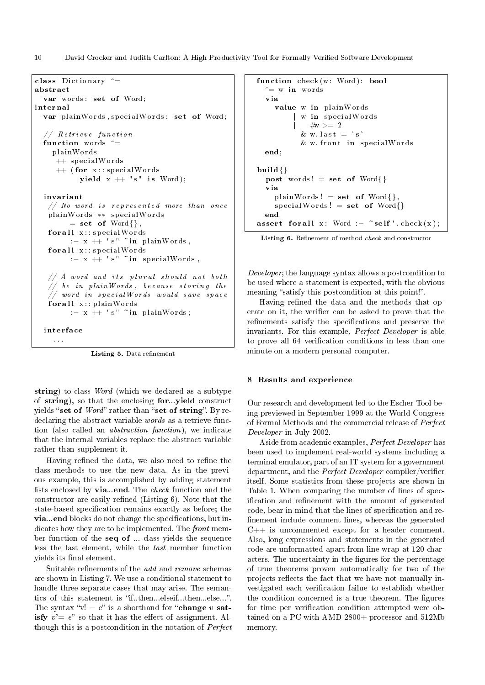10 David Crocker and Judith Carlton: A High Productivity Tool for Formally Verified Software Development

```
class Dictionary \hat{ } =
abstract
  var words: set of Word;
interna l
  var plainWords, specialWords: set of Word;
  // Retrieve function
  function words \hat{=}plainWords
     ++ specialWords
     ++ (for x:: specialWords
           yield x + \nightharpoonup s" is Word);
  invar iant
   // No word is represented more than once
   plainWords ** specialWords
        = set of Word\{\}for all x : : special Words
        : - x + "s" ~in plainWords,
   for all x : : special Words
        :- x + "s" ~in specialWords,
   // A word and its plural should not both
   // be in plainWords, because storing the
   // word in special Words would save space
   for all x : : plain Words
        : - x + "s" ~in plainWords;
  interface
    . . .
```
Listing 5. Data refinement

string) to class Word (which we declared as a subtype of string), so that the enclosing for...yield construct yields "set of  $Word$ " rather than "set of string". By redeclaring the abstract variable *words* as a retrieve function (also called an abstraction function), we indicate that the internal variables replace the abstract variable rather than supplement it.

Having refined the data, we also need to refine the class methods to use the new data. As in the previous example, this is accomplished by adding statement lists enclosed by via...end. The check function and the constructor are easily refined (Listing  $6$ ). Note that the state-based specification remains exactly as before; the via...end blocks do not change the specifications, but indicates how they are to be implemented. The front member function of the seq of ... class yields the sequence less the last element, while the last member function yields its final element.

Suitable refinements of the *add* and *remove* schemas are shown in Listing 7. We use a conditional statement to handle three separate cases that may arise. The semantics of this statement is "if..then...elseif...then...else...". The syntax " $v! = e$ " is a shorthand for "**change** v satisfy  $v' = e^v$  so that it has the effect of assignment. Although this is a postcondition in the notation of Perfect

```
function check(w: Word): bool
  \hat{=} w in words
  via
    value w in plainWords
          w in specialWords
            \# {\rm w} > = 2\& w. last = `s'
          & w. front in specialWords
  end;
build\{\}post words! = set of Word\via
    plainWords! = set of Word{},speedallWords! = set of Word{ }end
assert for all x: Word :- ~self ' check (x);
```
Listing 6. Refinement of method *check* and constructor

Developer, the language syntax allows a postcondition to be used where a statement is expected, with the obvious meaning "satisfy this postcondition at this point!".

Having refined the data and the methods that operate on it, the verifier can be asked to prove that the refinements satisfy the specifications and preserve the invariants. For this example, Perfect Developer is able to prove all 64 verification conditions in less than one minute on a modern personal computer.

#### 8 Results and experience

Our research and development led to the Escher Tool being previewed in September 1999 at the World Congress of Formal Methods and the commercial release of Perfect Developer in July 2002.

Aside from academic examples, Perfect Developer has been used to implement real-world systems including a terminal emulator, part of an IT system for a government department, and the *Perfect Developer* compiler/verifier itself. Some statistics from these projects are shown in Table 1. When comparing the number of lines of specification and refinement with the amount of generated code, bear in mind that the lines of specification and renement include comment lines, whereas the generated  $C++$  is uncommented except for a header comment. Also, long expressions and statements in the generated code are unformatted apart from line wrap at 120 characters. The uncertainty in the figures for the percentage of true theorems proven automatically for two of the projects reflects the fact that we have not manually investigated each verification failue to establish whether the condition concerned is a true theorem. The figures for time per verification condition attempted were obtained on a PC with AMD 2800+ processor and 512Mb memory.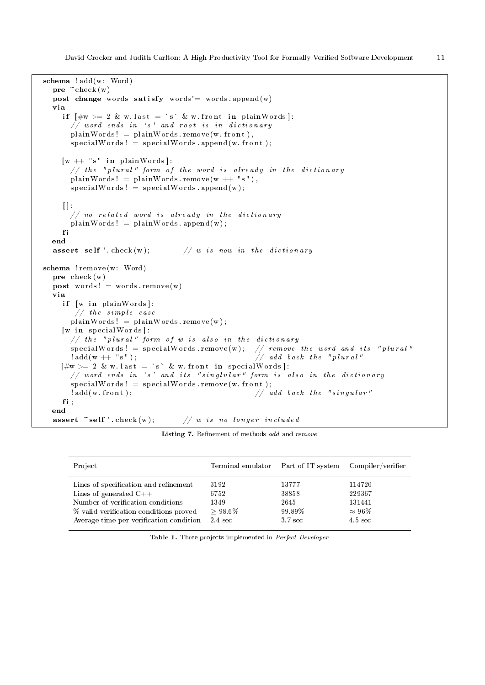```
schema ! add (w: Word)
  pre ~check (w)
  post change words satisfy words'= words append (w)
  via
    if \left[\#w\right\rangle = 2 \& w. last = `s` & w. front in plainWords]:
      // word ends in 's' and root is in dictionary
      plainWords! = plainWords. remove (w. front),
      specialWords! = specialWords. append (w. front);
    [w + ' ' s'' in plainWords]:
      \sqrt{ } the "plural" form of the word is already in the dictionary
      plainWords! = plainWords. remove(w + "s"),
      specialWord : = specialWords : apped(w);\| :
       // no related word is already in the dictionary
      plainWords! = plainWords. append (w);
    f i
  end
  assert self '. check (w); // w is now in the dictionaryschema ! remove (w: Word)
  pre check (w)
  post words! = words remove (w)
  via
    if [w in plainWords]:
       // the simple caseplainWords! = plainWords. remove(w);
    [w in special Words]:// the "plural" form of w is also in the dictionary
       speci alW o rd s ! = speci alW o rd s . remove (w ) ; // remove t h e word and i t s " p l u r a l "
                                                     // add back the "plural"[\#w \rangle = 2 \& w. last = `s` & w. front in specialWords]:
      // word ends in `s` and its "singlular" form is also in the dictionary
      specialWords! = specialWords. remove (w. front);
       !add(w, front);<br>//addback the "singular"fi;
  end
  \texttt{assert} \texttt{\texttt{``self '}}.\texttt{check}(w); \texttt{\texttt{''}}/\texttt{\texttt{''} is no longer included}
```
Listing 7. Refinement of methods add and remove

| Project                                 | Terminal emulator | Part of IT system Compiler/verifier |                   |
|-----------------------------------------|-------------------|-------------------------------------|-------------------|
| Lines of specification and refinement   | 3192              | 13777                               | 114720            |
| Lines of generated $C++$                | 6752              | 38858                               | 229367            |
| Number of verification conditions       | 1349              | 2645                                | 131441            |
| % valid verification conditions proved  | $>98.6\%$         | 99.89%                              | $\approx 96\%$    |
| Average time per verification condition | 2.4 sec           | 3.7 sec                             | $4.5 \text{ sec}$ |

Table 1. Three projects implemented in Perfect Developer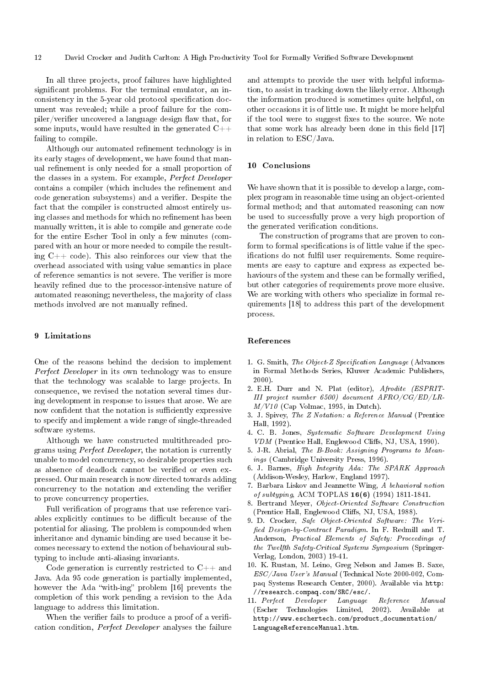In all three projects, proof failures have highlighted significant problems. For the terminal emulator, an inconsistency in the 5-year old protocol specification document was revealed; while a proof failure for the compiler/verifier uncovered a language design flaw that, for some inputs, would have resulted in the generated C++ failing to compile.

Although our automated refinement technology is in its early stages of development, we have found that manual refinement is only needed for a small proportion of the classes in a system. For example, Perfect Developer contains a compiler (which includes the refinement and code generation subsystems) and a verifier. Despite the fact that the compiler is constructed almost entirely using classes and methods for which no refinement has been manually written, it is able to compile and generate code for the entire Escher Tool in only a few minutes (compared with an hour or more needed to compile the resulting  $C_{++}$  code). This also reinforces our view that the overhead associated with using value semantics in place of reference semantics is not severe. The verifier is more heavily refined due to the processor-intensive nature of automated reasoning; nevertheless, the majority of class methods involved are not manually refined.

# 9 Limitations

One of the reasons behind the decision to implement Perfect Developer in its own technology was to ensure that the technology was scalable to large projects. In consequence, we revised the notation several times during development in response to issues that arose. We are now confident that the notation is sufficiently expressive to specify and implement a wide range of single-threaded software systems.

Although we have constructed multithreaded programs using Perfect Developer, the notation is currently unable to model concurrency, so desirable properties such as absence of deadlock cannot be verified or even expressed. Our main research is now directed towards adding concurrency to the notation and extending the verifier to prove concurrency properties.

Full verification of programs that use reference variables explicitly continues to be difficult because of the potential for aliasing. The problem is compounded when inheritance and dynamic binding are used because it becomes necessary to extend the notion of behavioural subtyping to include anti-aliasing invariants.

Code generation is currently restricted to  $C_{++}$  and Java. Ada 95 code generation is partially implemented, however the Ada "with-ing" problem  $[16]$  prevents the completion of this work pending a revision to the Ada language to address this limitation.

When the verifier fails to produce a proof of a verification condition, Perfect Developer analyses the failure

and attempts to provide the user with helpful information, to assist in tracking down the likely error. Although the information produced is sometimes quite helpful, on other occasions it is of little use. It might be more helpful if the tool were to suggest fixes to the source. We note that some work has already been done in this field  $[17]$ in relation to ESC/Java.

# 10 Conclusions

We have shown that it is possible to develop a large, complex program in reasonable time using an object-oriented formal method; and that automated reasoning can now be used to successfully prove a very high proportion of the generated verification conditions.

The construction of programs that are proven to conform to formal specifications is of little value if the specifications do not fulfil user requirements. Some requirements are easy to capture and express as expected behaviours of the system and these can be formally verified, but other categories of requirements prove more elusive. We are working with others who specialize in formal requirements [18] to address this part of the development process.

#### References

- 1. G. Smith, The Object-Z Specification Language (Advances in Formal Methods Series, Kluwer Academic Publishers, 2000).
- 2. E.H. Durr and N. Plat (editor), Afrodite (ESPRIT-III project number 6500) document AFRO/CG/ED/LR- $M/V10$  (Cap Volmac, 1995, in Dutch).
- 3. J. Spivey, The Z Notation: a Reference Manual (Prentice Hall, 1992).
- 4. C. B. Jones, Systematic Software Development Using VDM (Prentice Hall, Englewood Cliffs, NJ, USA, 1990).
- 5. J-R. Abrial, The B-Book: Assigning Programs to Meanings (Cambridge University Press, 1996).
- 6. J. Barnes, High Integrity Ada: The SPARK Approach (Addison-Wesley, Harlow, England 1997).
- 7. Barbara Liskov and Jeannette Wing, A behavioral notion of subtyping, ACM TOPLAS 16(6) (1994) 1811-1841.
- 8. Bertrand Meyer, Object-Oriented Software Construction (Prentice Hall, Englewood Cliffs, NJ, USA, 1988).
- 9. D. Crocker, Safe Object-Oriented Software: The Veri fied Design-by-Contract Paradigm. In F. Redmill and T. Anderson, Practical Elements of Safety: Proceedings of the Twelfth Safety-Critical Systems Symposium (Springer-Verlag, London, 2003) 19-41.
- 10. K. Rustan, M. Leino, Greg Nelson and James B. Saxe, ESC/Java User's Manual (Technical Note 2000-002, Compaq Systems Research Center, 2000). Available via http: //research.compaq.com/SRC/esc/.
- 11. Perfect Developer Language Reference Manual (Escher Technologies Limited, 2002). Available at http://www.eschertech.com/product\_documentation/ LanguageReferenceManual.htm.